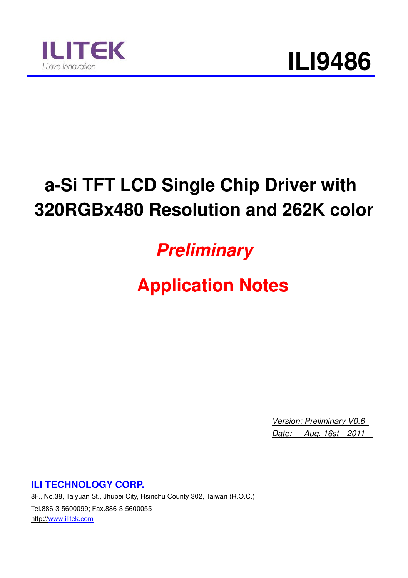

### **a-Si TFT LCD Single Chip Driver with 320RGBx480 Resolution and 262K color**

### **Preliminary**

### **Application Notes**

*Version: Preliminary V0.6 Date: Aug. 16st 2011* 

**ILI TECHNOLOGY CORP.** 

8F., No.38, Taiyuan St., Jhubei City, Hsinchu County 302, Taiwan (R.O.C.) Tel.886-3-5600099; Fax.886-3-5600055 http://www.ilitek.com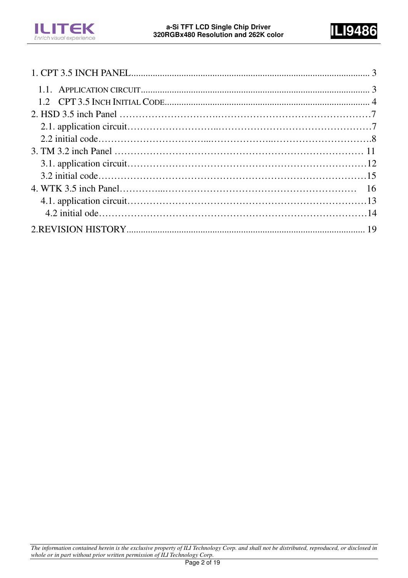

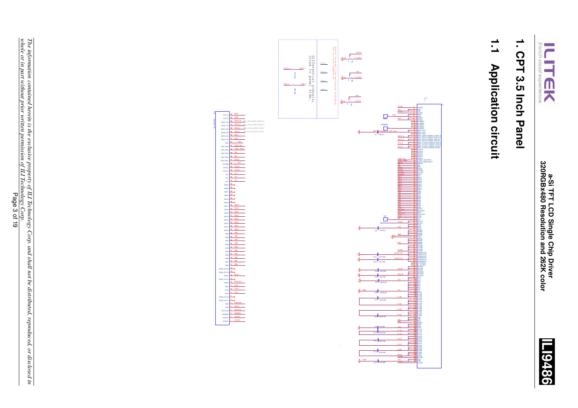



# 1. CPT 3.5 Inch Panel **1. CPT 3.5 Inch Panel**

## $\frac{1}{\sqrt{2}}$ **1.1 Application circuit Application circuit**

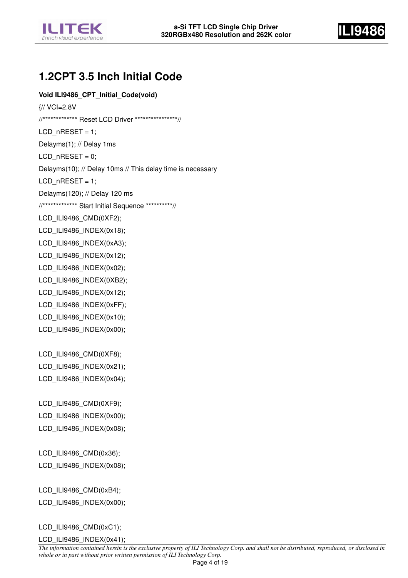



#### **1.2CPT 3.5 Inch Initial Code**

#### **Void ILI9486\_CPT\_Initial\_Code(void)**

{// VCI=2.8V //\*\*\*\*\*\*\*\*\*\*\*\*\* Reset LCD Driver \*\*\*\*\*\*\*\*\*\*\*\*\*\*\*\*//  $LCD_nRESET = 1$ ; Delayms(1); // Delay 1ms  $LCD_nRESET = 0;$ Delayms(10); // Delay 10ms // This delay time is necessary LCD  $n$ RESET = 1; Delayms(120); // Delay 120 ms //\*\*\*\*\*\*\*\*\*\*\*\*\* Start Initial Sequence \*\*\*\*\*\*\*\*\*\*// LCD\_ILI9486\_CMD(0XF2); LCD\_ILI9486\_INDEX(0x18); LCD\_ILI9486\_INDEX(0xA3); LCD\_ILI9486\_INDEX(0x12); LCD\_ILI9486\_INDEX(0x02); LCD\_ILI9486\_INDEX(0XB2); LCD\_ILI9486\_INDEX(0x12); LCD\_ILI9486\_INDEX(0xFF); LCD\_ILI9486\_INDEX(0x10); LCD\_ILI9486\_INDEX(0x00); LCD\_ILI9486\_CMD(0XF8); LCD\_ILI9486\_INDEX(0x21); LCD\_ILI9486\_INDEX(0x04); LCD\_ILI9486\_CMD(0XF9); LCD\_ILI9486\_INDEX(0x00); LCD\_ILI9486\_INDEX(0x08); LCD\_ILI9486\_CMD(0x36); LCD\_ILI9486\_INDEX(0x08); LCD\_ILI9486\_CMD(0xB4); LCD\_ILI9486\_INDEX(0x00);

LCD\_ILI9486\_CMD(0xC1);

LCD\_ILI9486\_INDEX(0x41);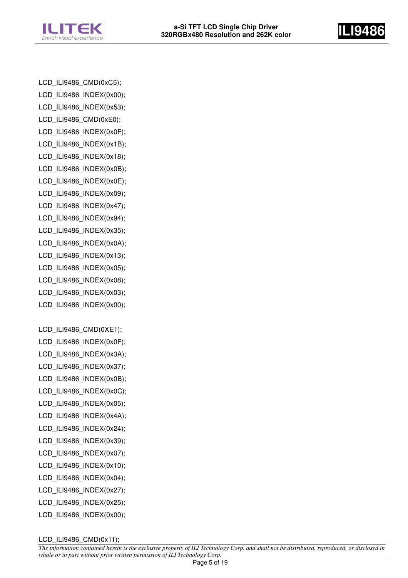



LCD\_ILI9486\_CMD(0xC5); LCD\_ILI9486\_INDEX(0x00); LCD\_ILI9486\_INDEX(0x53); LCD\_ILI9486\_CMD(0xE0); LCD\_ILI9486\_INDEX(0x0F); LCD\_ILI9486\_INDEX(0x1B); LCD\_ILI9486\_INDEX(0x18); LCD\_ILI9486\_INDEX(0x0B); LCD\_ILI9486\_INDEX(0x0E); LCD\_ILI9486\_INDEX(0x09); LCD\_ILI9486\_INDEX(0x47); LCD\_ILI9486\_INDEX(0x94); LCD\_ILI9486\_INDEX(0x35); LCD\_ILI9486\_INDEX(0x0A); LCD\_ILI9486\_INDEX(0x13); LCD\_ILI9486\_INDEX(0x05); LCD\_ILI9486\_INDEX(0x08); LCD\_ILI9486\_INDEX(0x03); LCD\_ILI9486\_INDEX(0x00); LCD\_ILI9486\_CMD(0XE1); LCD\_ILI9486\_INDEX(0x0F); LCD\_ILI9486\_INDEX(0x3A); LCD\_ILI9486\_INDEX(0x37); LCD\_ILI9486\_INDEX(0x0B);

- LCD\_ILI9486\_INDEX(0x0C); LCD\_ILI9486\_INDEX(0x05);
- LCD\_ILI9486\_INDEX(0x4A);
- LCD\_ILI9486\_INDEX(0x24);
- LCD\_ILI9486\_INDEX(0x39);
- LCD\_ILI9486\_INDEX(0x07);
- LCD\_ILI9486\_INDEX(0x10);
- LCD\_ILI9486\_INDEX(0x04);
- LCD\_ILI9486\_INDEX(0x27); LCD\_ILI9486\_INDEX(0x25);
- LCD\_ILI9486\_INDEX(0x00);

LCD\_ILI9486\_CMD(0x11);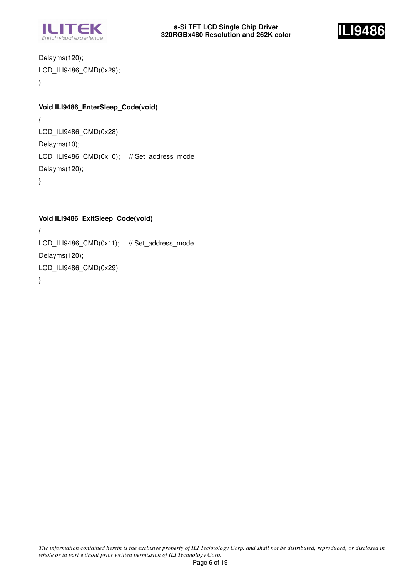



Delayms(120); LCD\_ILI9486\_CMD(0x29); }

#### **Void ILI9486\_EnterSleep\_Code(void)**

{ LCD\_ILI9486\_CMD(0x28) Delayms(10); LCD\_ILI9486\_CMD(0x10); // Set\_address\_mode Delayms(120); }

**Void ILI9486\_ExitSleep\_Code(void)**  { LCD\_ILI9486\_CMD(0x11); // Set\_address\_mode Delayms(120); LCD\_ILI9486\_CMD(0x29) }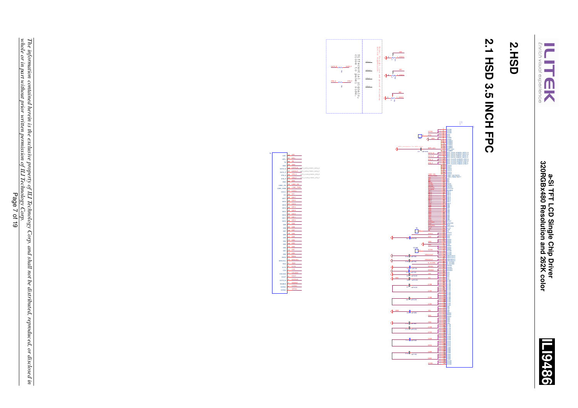



## **2.HSD**

# **2.1 HSD 3.5 INCH FPC 2.1 HSD 3.5 INCH FPC**

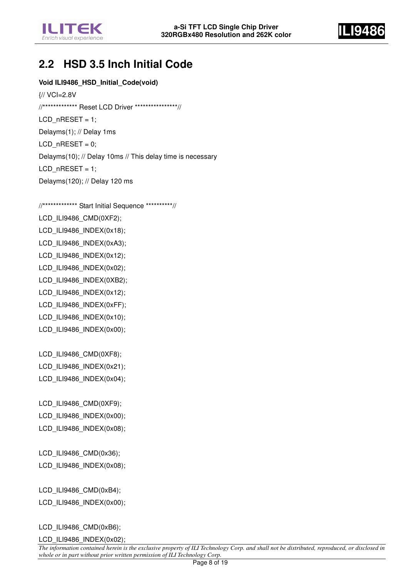



#### **2.2 HSD 3.5 Inch Initial Code**

**Void ILI9486\_HSD\_Initial\_Code(void)** 

{// VCI=2.8V //\*\*\*\*\*\*\*\*\*\*\*\*\* Reset LCD Driver \*\*\*\*\*\*\*\*\*\*\*\*\*\*\*\*// LCD  $n$ RESET = 1; Delayms(1); // Delay 1ms  $LCD_n$ RESET = 0; Delayms(10); // Delay 10ms // This delay time is necessary  $LCD_nRESET = 1$ ; Delayms(120); // Delay 120 ms

//\*\*\*\*\*\*\*\*\*\*\*\*\* Start Initial Sequence \*\*\*\*\*\*\*\*\*\*// LCD\_ILI9486\_CMD(0XF2); LCD\_ILI9486\_INDEX(0x18); LCD\_ILI9486\_INDEX(0xA3); LCD\_ILI9486\_INDEX(0x12); LCD\_ILI9486\_INDEX(0x02); LCD\_ILI9486\_INDEX(0XB2); LCD\_ILI9486\_INDEX(0x12); LCD\_ILI9486\_INDEX(0xFF); LCD\_ILI9486\_INDEX(0x10); LCD\_ILI9486\_INDEX(0x00); LCD\_ILI9486\_CMD(0XF8); LCD\_ILI9486\_INDEX(0x21); LCD\_ILI9486\_INDEX(0x04);

LCD\_ILI9486\_CMD(0XF9); LCD\_ILI9486\_INDEX(0x00); LCD\_ILI9486\_INDEX(0x08);

LCD\_ILI9486\_CMD(0x36); LCD\_ILI9486\_INDEX(0x08);

LCD\_ILI9486\_CMD(0xB4); LCD\_ILI9486\_INDEX(0x00);

LCD\_ILI9486\_CMD(0xB6);

LCD\_ILI9486\_INDEX(0x02);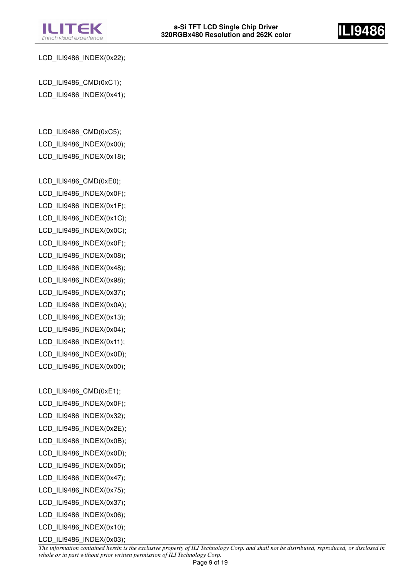



LCD\_ILI9486\_INDEX(0x22);

LCD\_ILI9486\_CMD(0xC1); LCD\_ILI9486\_INDEX(0x41);

LCD\_ILI9486\_CMD(0xC5); LCD\_ILI9486\_INDEX(0x00); LCD\_ILI9486\_INDEX(0x18);

LCD\_ILI9486\_CMD(0xE0); LCD\_ILI9486\_INDEX(0x0F); LCD\_ILI9486\_INDEX(0x1F); LCD\_ILI9486\_INDEX(0x1C); LCD\_ILI9486\_INDEX(0x0C); LCD\_ILI9486\_INDEX(0x0F); LCD\_ILI9486\_INDEX(0x08); LCD\_ILI9486\_INDEX(0x48); LCD\_ILI9486\_INDEX(0x98); LCD\_ILI9486\_INDEX(0x37); LCD\_ILI9486\_INDEX(0x0A); LCD\_ILI9486\_INDEX(0x13); LCD\_ILI9486\_INDEX(0x04); LCD\_ILI9486\_INDEX(0x11); LCD\_ILI9486\_INDEX(0x0D); LCD\_ILI9486\_INDEX(0x00);

LCD\_ILI9486\_CMD(0xE1); LCD\_ILI9486\_INDEX(0x0F); LCD\_ILI9486\_INDEX(0x32); LCD\_ILI9486\_INDEX(0x2E); LCD\_ILI9486\_INDEX(0x0B); LCD\_ILI9486\_INDEX(0x0D); LCD\_ILI9486\_INDEX(0x05); LCD\_ILI9486\_INDEX(0x47); LCD\_ILI9486\_INDEX(0x75); LCD\_ILI9486\_INDEX(0x37); LCD\_ILI9486\_INDEX(0x06); LCD\_ILI9486\_INDEX(0x10);

LCD\_ILI9486\_INDEX(0x03);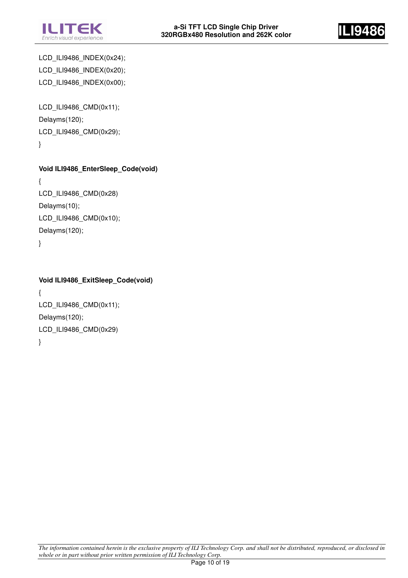



LCD\_ILI9486\_INDEX(0x24); LCD\_ILI9486\_INDEX(0x20); LCD\_ILI9486\_INDEX(0x00);

LCD\_ILI9486\_CMD(0x11); Delayms(120); LCD\_ILI9486\_CMD(0x29); }

```
Void ILI9486_EnterSleep_Code(void) 
{ 
LCD_ILI9486_CMD(0x28)
Delayms(10); 
LCD_ILI9486_CMD(0x10);
```
Delayms(120);

}

#### **Void ILI9486\_ExitSleep\_Code(void)**

{ LCD\_ILI9486\_CMD(0x11); Delayms(120); LCD\_ILI9486\_CMD(0x29) }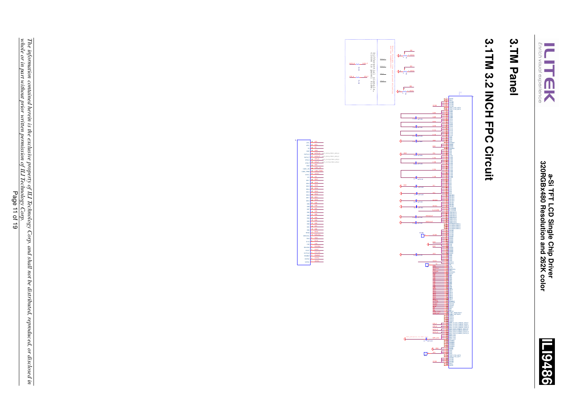



### 3. TM Panel **3.TM Panel**

# 3.1TM 3.2 INCH FPC Circuit **3.1TM 3.2 INCH FPC Circuit**



1234567899

DOTCLK<br>ENABLE<br>HSYNC<br>VSYNC DOUT RDX<br>D/CX<br>CSX WRX/SCL

RES<br>DB11<br>DB11 DB11 DATA\_PWM CABC\_PWM CABC\_PWM CABC\_PWM<br>DATA\_PWM CABC\_PWM CABC\_PWM CABC\_PWM CABC\_PWM CABC\_PWM CABC<br>DATA\_PWM CABC\_PWM CABC\_PWM CABC\_PWM CABC\_PWM CABC\_PWM<br>DATA\_PWM CABC\_PWM CABC\_PWM CABC\_PWM CABC\_PWM CABC\_PWM

42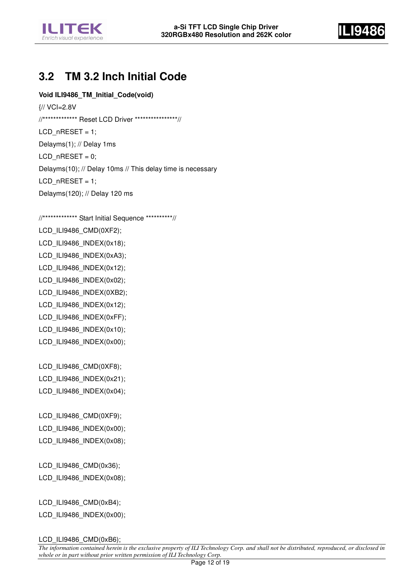



#### **3.2 TM 3.2 Inch Initial Code**

#### **Void ILI9486\_TM\_Initial\_Code(void)**

{// VCI=2.8V //\*\*\*\*\*\*\*\*\*\*\*\*\* Reset LCD Driver \*\*\*\*\*\*\*\*\*\*\*\*\*\*\*\*//  $LCD_nRESET = 1$ ; Delayms(1); // Delay 1ms  $LCD_nRESET = 0;$ Delayms(10); // Delay 10ms // This delay time is necessary LCD  $n$ RESET = 1; Delayms(120); // Delay 120 ms

//\*\*\*\*\*\*\*\*\*\*\*\*\* Start Initial Sequence \*\*\*\*\*\*\*\*\*\*// LCD\_ILI9486\_CMD(0XF2); LCD\_ILI9486\_INDEX(0x18); LCD\_ILI9486\_INDEX(0xA3); LCD\_ILI9486\_INDEX(0x12); LCD\_ILI9486\_INDEX(0x02); LCD\_ILI9486\_INDEX(0XB2); LCD\_ILI9486\_INDEX(0x12); LCD\_ILI9486\_INDEX(0xFF); LCD\_ILI9486\_INDEX(0x10); LCD\_ILI9486\_INDEX(0x00);

LCD\_ILI9486\_CMD(0XF8); LCD\_ILI9486\_INDEX(0x21); LCD\_ILI9486\_INDEX(0x04);

LCD\_ILI9486\_CMD(0XF9); LCD\_ILI9486\_INDEX(0x00); LCD\_ILI9486\_INDEX(0x08);

LCD\_ILI9486\_CMD(0x36); LCD\_ILI9486\_INDEX(0x08);

LCD\_ILI9486\_CMD(0xB4); LCD\_ILI9486\_INDEX(0x00);

LCD ILI9486 CMD(0xB6);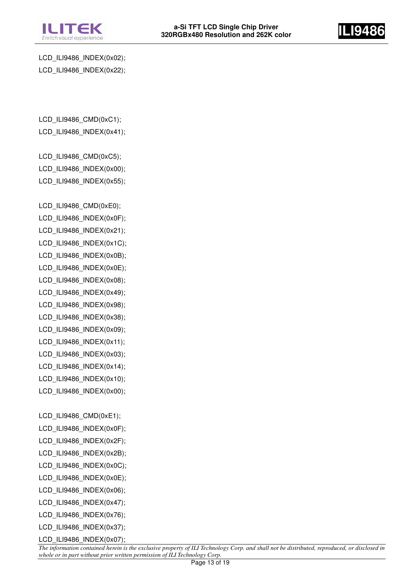



LCD\_ILI9486\_INDEX(0x02); LCD\_ILI9486\_INDEX(0x22);

LCD\_ILI9486\_CMD(0xC1); LCD\_ILI9486\_INDEX(0x41);

LCD\_ILI9486\_CMD(0xC5); LCD\_ILI9486\_INDEX(0x00); LCD\_ILI9486\_INDEX(0x55);

LCD\_ILI9486\_CMD(0xE0); LCD\_ILI9486\_INDEX(0x0F); LCD\_ILI9486\_INDEX(0x21); LCD\_ILI9486\_INDEX(0x1C); LCD\_ILI9486\_INDEX(0x0B); LCD\_ILI9486\_INDEX(0x0E); LCD\_ILI9486\_INDEX(0x08); LCD\_ILI9486\_INDEX(0x49); LCD\_ILI9486\_INDEX(0x98); LCD\_ILI9486\_INDEX(0x38); LCD\_ILI9486\_INDEX(0x09); LCD\_ILI9486\_INDEX(0x11); LCD\_ILI9486\_INDEX(0x03); LCD\_ILI9486\_INDEX(0x14); LCD\_ILI9486\_INDEX(0x10); LCD\_ILI9486\_INDEX(0x00); LCD ILI9486 CMD(0xE1); LCD\_ILI9486\_INDEX(0x0F); LCD\_ILI9486\_INDEX(0x2F); LCD\_ILI9486\_INDEX(0x2B); LCD\_ILI9486\_INDEX(0x0C); LCD\_ILI9486\_INDEX(0x0E);

- LCD\_ILI9486\_INDEX(0x06); LCD\_ILI9486\_INDEX(0x47);
- LCD\_ILI9486\_INDEX(0x76);
- LCD\_ILI9486\_INDEX(0x37);

LCD\_ILI9486\_INDEX(0x07);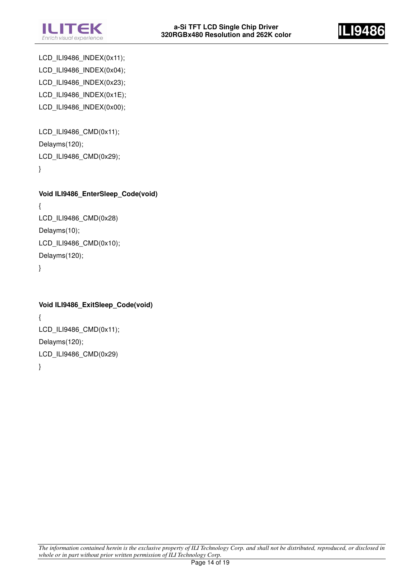



LCD\_ILI9486\_INDEX(0x11); LCD\_ILI9486\_INDEX(0x04); LCD\_ILI9486\_INDEX(0x23); LCD\_ILI9486\_INDEX(0x1E); LCD\_ILI9486\_INDEX(0x00);

LCD\_ILI9486\_CMD(0x11); Delayms(120); LCD\_ILI9486\_CMD(0x29); }

**Void ILI9486\_EnterSleep\_Code(void)**  { LCD\_ILI9486\_CMD(0x28) Delayms(10); LCD\_ILI9486\_CMD(0x10); Delayms(120); }

```
Void ILI9486_ExitSleep_Code(void) 
{ 
LCD_ILI9486_CMD(0x11); 
Delayms(120); 
LCD_ILI9486_CMD(0x29) 
}
```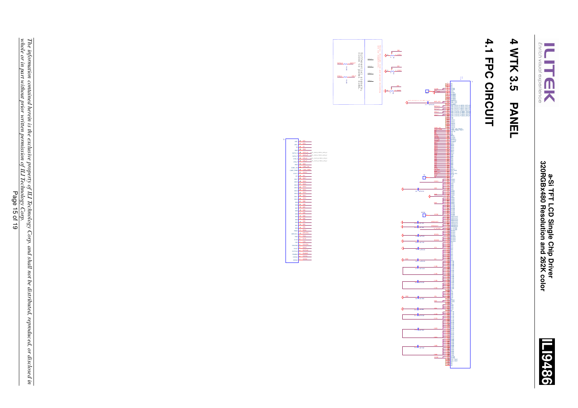



### 4 WTK 3.5 **4 WTK 3.5 PANEL PANEL**

## 4.1 FPC CIRCUIT **4.1 FPC CIRCUIT**



1234567899

20<br>20<br>20<br>21<br>20<br>21<br>20<br>21<br>20<br>20<br>20<br>20<br>20<br>20<br>20<br>20<br>20<br>20<br>20<br>20<br>20

VSYNC<br>USH<br>COX DOTCLK<br>DOTCLK<br>DOTCLK<br>DOTCLK<br>DOTCLK<br>DOTCLK

CABC\_PWM STB\_P DATA\_P TE LED+ LED-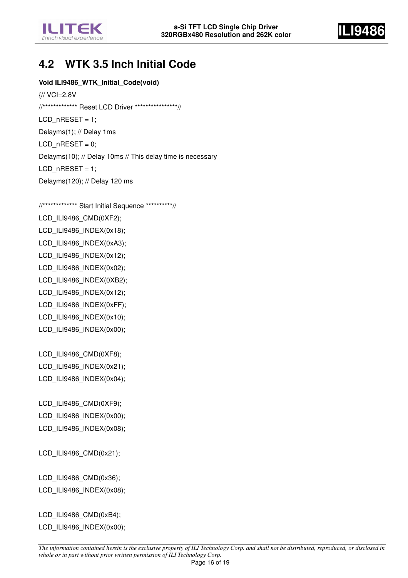



#### **4.2 WTK 3.5 Inch Initial Code**

#### **Void ILI9486\_WTK\_Initial\_Code(void)**

{// VCI=2.8V //\*\*\*\*\*\*\*\*\*\*\*\*\* Reset LCD Driver \*\*\*\*\*\*\*\*\*\*\*\*\*\*\*\*// LCD  $n$ RESET = 1; Delayms(1); // Delay 1ms  $LCD_nRESET = 0;$ Delayms(10); // Delay 10ms // This delay time is necessary  $LCD_nRESET = 1$ ; Delayms(120); // Delay 120 ms

//\*\*\*\*\*\*\*\*\*\*\*\*\* Start Initial Sequence \*\*\*\*\*\*\*\*\*\*// LCD\_ILI9486\_CMD(0XF2); LCD\_ILI9486\_INDEX(0x18); LCD\_ILI9486\_INDEX(0xA3); LCD\_ILI9486\_INDEX(0x12); LCD\_ILI9486\_INDEX(0x02); LCD\_ILI9486\_INDEX(0XB2); LCD\_ILI9486\_INDEX(0x12); LCD\_ILI9486\_INDEX(0xFF); LCD\_ILI9486\_INDEX(0x10); LCD\_ILI9486\_INDEX(0x00); LCD\_ILI9486\_CMD(0XF8); LCD\_ILI9486\_INDEX(0x21); LCD\_ILI9486\_INDEX(0x04); LCD\_ILI9486\_CMD(0XF9); LCD\_ILI9486\_INDEX(0x00); LCD\_ILI9486\_INDEX(0x08); LCD\_ILI9486\_CMD(0x21); LCD\_ILI9486\_CMD(0x36); LCD\_ILI9486\_INDEX(0x08);

LCD\_ILI9486\_CMD(0xB4); LCD\_ILI9486\_INDEX(0x00);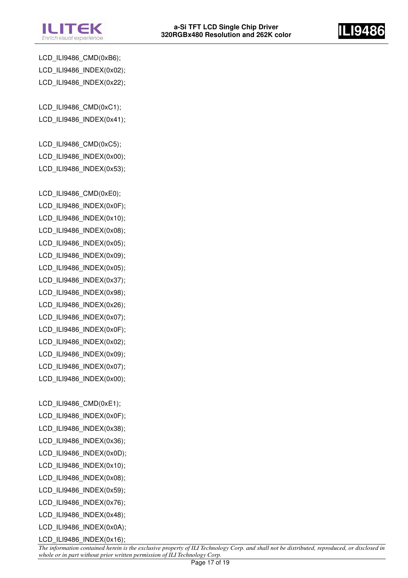



LCD\_ILI9486\_CMD(0xB6); LCD\_ILI9486\_INDEX(0x02); LCD\_ILI9486\_INDEX(0x22);

LCD\_ILI9486\_CMD(0xC1); LCD\_ILI9486\_INDEX(0x41);

LCD\_ILI9486\_CMD(0xC5); LCD\_ILI9486\_INDEX(0x00); LCD\_ILI9486\_INDEX(0x53);

LCD\_ILI9486\_CMD(0xE0); LCD\_ILI9486\_INDEX(0x0F); LCD\_ILI9486\_INDEX(0x10); LCD\_ILI9486\_INDEX(0x08); LCD\_ILI9486\_INDEX(0x05); LCD\_ILI9486\_INDEX(0x09); LCD\_ILI9486\_INDEX(0x05); LCD\_ILI9486\_INDEX(0x37); LCD\_ILI9486\_INDEX(0x98); LCD\_ILI9486\_INDEX(0x26); LCD\_ILI9486\_INDEX(0x07); LCD\_ILI9486\_INDEX(0x0F); LCD\_ILI9486\_INDEX(0x02); LCD\_ILI9486\_INDEX(0x09); LCD\_ILI9486\_INDEX(0x07); LCD\_ILI9486\_INDEX(0x00);

LCD\_ILI9486\_CMD(0xE1); LCD\_ILI9486\_INDEX(0x0F); LCD\_ILI9486\_INDEX(0x38); LCD\_ILI9486\_INDEX(0x36); LCD\_ILI9486\_INDEX(0x0D); LCD\_ILI9486\_INDEX(0x10); LCD\_ILI9486\_INDEX(0x08); LCD\_ILI9486\_INDEX(0x59); LCD\_ILI9486\_INDEX(0x76); LCD\_ILI9486\_INDEX(0x48); LCD\_ILI9486\_INDEX(0x0A);

LCD\_ILI9486\_INDEX(0x16);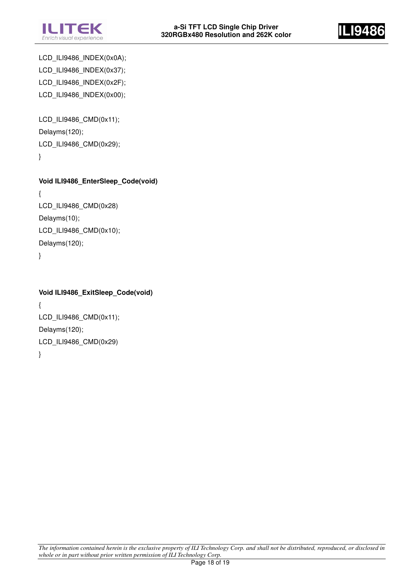



LCD\_ILI9486\_INDEX(0x0A); LCD\_ILI9486\_INDEX(0x37); LCD\_ILI9486\_INDEX(0x2F); LCD\_ILI9486\_INDEX(0x00);

LCD\_ILI9486\_CMD(0x11); Delayms(120); LCD\_ILI9486\_CMD(0x29); }

**Void ILI9486\_EnterSleep\_Code(void)**  { LCD\_ILI9486\_CMD(0x28) Delayms(10); LCD\_ILI9486\_CMD(0x10); Delayms(120); }

**Void ILI9486\_ExitSleep\_Code(void)**  { LCD\_ILI9486\_CMD(0x11); Delayms(120); LCD\_ILI9486\_CMD(0x29)

}